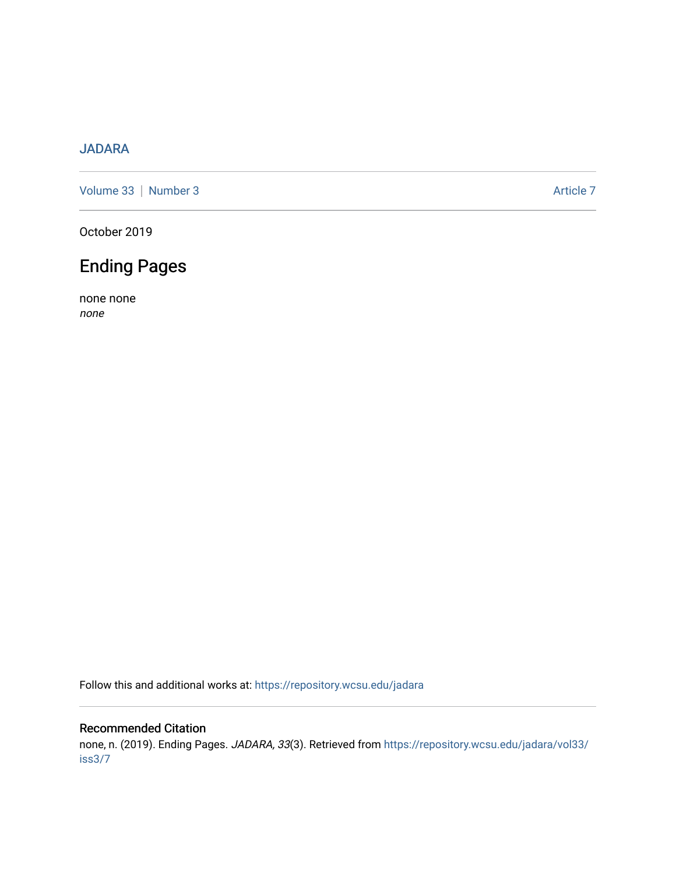## [JADARA](https://repository.wcsu.edu/jadara)

[Volume 33](https://repository.wcsu.edu/jadara/vol33) | [Number 3](https://repository.wcsu.edu/jadara/vol33/iss3) Article 7

October 2019

## Ending Pages

none none none

Follow this and additional works at: [https://repository.wcsu.edu/jadara](https://repository.wcsu.edu/jadara?utm_source=repository.wcsu.edu%2Fjadara%2Fvol33%2Fiss3%2F7&utm_medium=PDF&utm_campaign=PDFCoverPages)

## Recommended Citation

none, n. (2019). Ending Pages. JADARA, 33(3). Retrieved from [https://repository.wcsu.edu/jadara/vol33/](https://repository.wcsu.edu/jadara/vol33/iss3/7?utm_source=repository.wcsu.edu%2Fjadara%2Fvol33%2Fiss3%2F7&utm_medium=PDF&utm_campaign=PDFCoverPages) [iss3/7](https://repository.wcsu.edu/jadara/vol33/iss3/7?utm_source=repository.wcsu.edu%2Fjadara%2Fvol33%2Fiss3%2F7&utm_medium=PDF&utm_campaign=PDFCoverPages)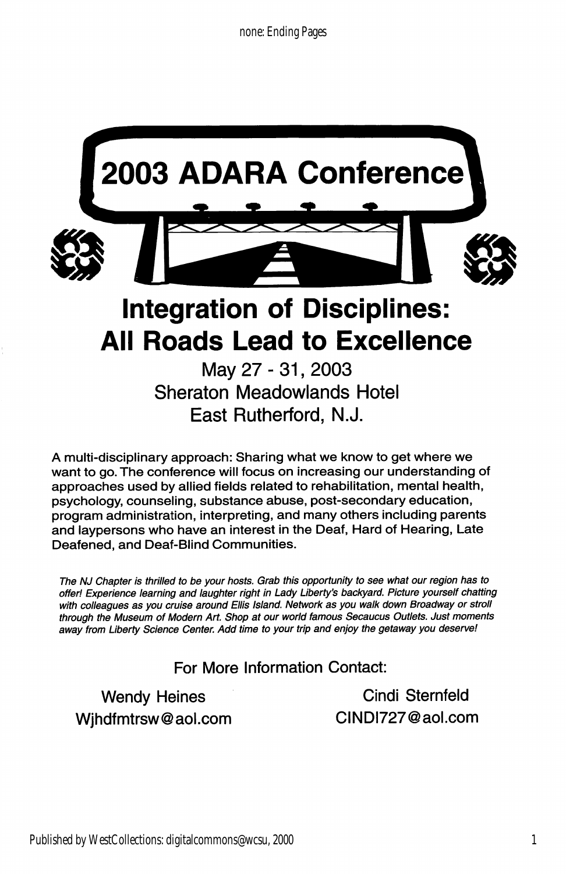

May 27-31, 2003 Sheraton Meadowlands Hotel East Rutherford, N.J.

A multi-disciplinary approach: Sharing what we know to get where we want to go. The conference will focus on increasing our understanding of approaches used by allied fields related to rehabilitation, mental health, psychology, counseling, substance abuse, post-secondary education, program administration, interpreting, and many others including parents and laypersons who have an interest in the Deaf, Hard of Hearing, Late Deafened, and Deaf-Blind Communities.

The NJ Chapter is thrilled to be your hosts. Grab this opportunity to see what our region has to offer! Experience learning and laughter right in Lady Liberty's backyard. Picture yourself chatting with colleagues as you cruise around Ellis Island. Network as you walk down Broadway or stroll through the Museum of Modern Art. Shop at our world famous Secaucus Outlets. Just moments away from Liberty Science Center. Add time to your trip and enjoy the getaway you deserve!

For More Information Contact:

Wjhdfmtrsw@aol.com CINDI727@aol.com

Wendy Heines **Cindi Sternfeld**